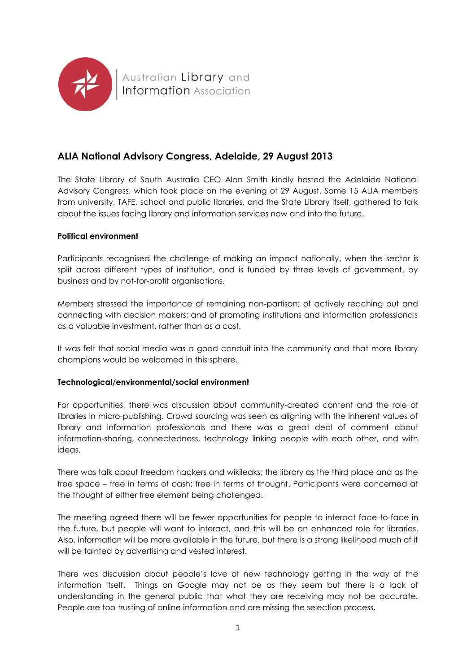

# **ALIA National Advisory Congress, Adelaide, 29 August 2013**

The State Library of South Australia CEO Alan Smith kindly hosted the Adelaide National Advisory Congress, which took place on the evening of 29 August. Some 15 ALIA members from university, TAFE, school and public libraries, and the State Library itself, gathered to talk about the issues facing library and information services now and into the future.

# **Political environment**

Participants recognised the challenge of making an impact nationally, when the sector is split across different types of institution, and is funded by three levels of government, by business and by not-for-profit organisations.

Members stressed the importance of remaining non-partisan; of actively reaching out and connecting with decision makers; and of promoting institutions and information professionals as a valuable investment, rather than as a cost.

It was felt that social media was a good conduit into the community and that more library champions would be welcomed in this sphere.

# **Technological/environmental/social environment**

For opportunities, there was discussion about community-created content and the role of libraries in micro-publishing. Crowd sourcing was seen as aligning with the inherent values of library and information professionals and there was a great deal of comment about information-sharing, connectedness, technology linking people with each other, and with ideas.

There was talk about freedom hackers and wikileaks; the library as the third place and as the free space – free in terms of cash; free in terms of thought. Participants were concerned at the thought of either free element being challenged.

The meeting agreed there will be fewer opportunities for people to interact face-to-face in the future, but people will want to interact, and this will be an enhanced role for libraries. Also, information will be more available in the future, but there is a strong likelihood much of it will be tainted by advertising and vested interest.

There was discussion about people's love of new technology getting in the way of the information itself. Things on Google may not be as they seem but there is a lack of understanding in the general public that what they are receiving may not be accurate. People are too trusting of online information and are missing the selection process.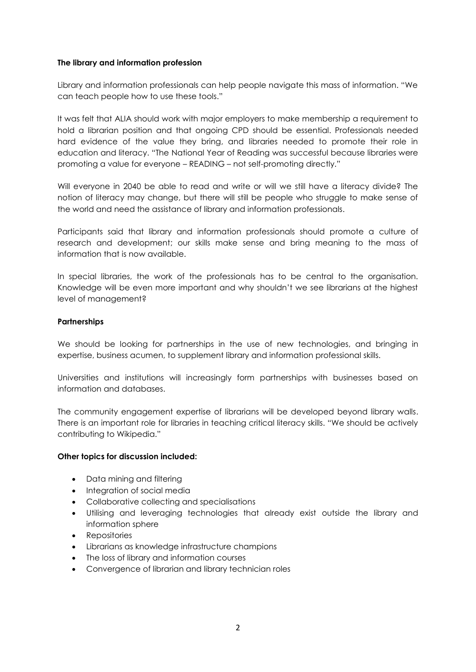## **The library and information profession**

Library and information professionals can help people navigate this mass of information. "We can teach people how to use these tools."

It was felt that ALIA should work with major employers to make membership a requirement to hold a librarian position and that ongoing CPD should be essential. Professionals needed hard evidence of the value they bring, and libraries needed to promote their role in education and literacy. "The National Year of Reading was successful because libraries were promoting a value for everyone – READING – not self-promoting directly."

Will everyone in 2040 be able to read and write or will we still have a literacy divide? The notion of literacy may change, but there will still be people who struggle to make sense of the world and need the assistance of library and information professionals.

Participants said that library and information professionals should promote a culture of research and development; our skills make sense and bring meaning to the mass of information that is now available.

In special libraries, the work of the professionals has to be central to the organisation. Knowledge will be even more important and why shouldn't we see librarians at the highest level of management?

# **Partnerships**

We should be looking for partnerships in the use of new technologies, and bringing in expertise, business acumen, to supplement library and information professional skills.

Universities and institutions will increasingly form partnerships with businesses based on information and databases.

The community engagement expertise of librarians will be developed beyond library walls. There is an important role for libraries in teaching critical literacy skills. "We should be actively contributing to Wikipedia."

#### **Other topics for discussion included:**

- Data mining and filtering
- Integration of social media
- Collaborative collecting and specialisations
- Utilising and leveraging technologies that already exist outside the library and information sphere
- Repositories
- Librarians as knowledge infrastructure champions
- The loss of library and information courses
- Convergence of librarian and library technician roles